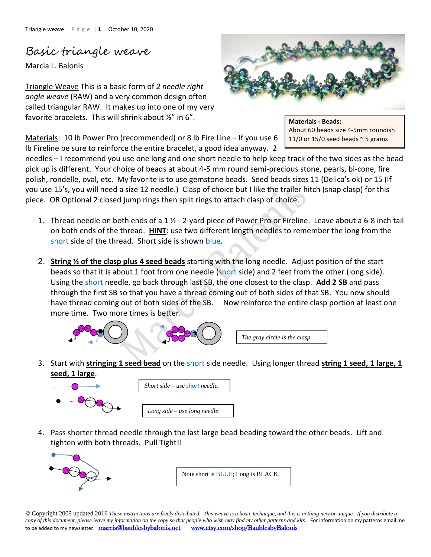## Basic triangle weave

Marcia L. Balonis

Triangle Weave This is a basic form of *2 needle right angle weave* (RAW) and a very common design often called triangular RAW. It makes up into one of my very favorite bracelets. This will shrink about ½" in 6".

Materials: 10 lb Power Pro (recommended) or 8 lb Fire Line – If you use 6 lb Fireline be sure to reinforce the entire bracelet, a good idea anyway. 2

needles – I recommend you use one long and one short needle to help keep track of the two sides as the bead pick up is different. Your choice of beads at about 4-5 mm round semi-precious stone, pearls, bi-cone, fire polish, rondelle, oval, etc. My favorite is to use gemstone beads. Seed beads sizes 11 (Delica's ok) or 15 (If you use 15's, you will need a size 12 needle.) Clasp of choice but I like the trailer hitch (snap clasp) for this piece. OR Optional 2 closed jump rings then split rings to attach clasp of choice.

- 1. Thread needle on both ends of a 1 ½ 2-yard piece of Power Pro or Fireline. Leave about a 6-8 inch tail on both ends of the thread. **HINT**: use two different length needles to remember the long from the short side of the thread. Short side is shown blue.
- 2. **String ½ of the clasp plus 4 seed beads** starting with the long needle. Adjust position of the start beads so that it is about 1 foot from one needle (short side) and 2 feet from the other (long side). Using the short needle, go back through last SB, the one closest to the clasp. **Add 2 SB** and pass through the first SB so that you have a thread coming out of both sides of that SB. You now should have thread coming out of both sides of the SB. Now reinforce the entire clasp portion at least one more time. Two more times is better.



3. Start with **stringing 1 seed bead** on the short side needle. Using longer thread **string 1 seed, 1 large, 1 seed, 1 large**.



*Short side – use short needle. Long side – use long needle.*

4. Pass shorter thread needle through the last large bead beading toward the other beads. Lift and tighten with both threads. Pull Tight!!



Note short is BLUE; Long is BLACK.

© Copyright 2009 updated 2016 *These instructions are freely distributed. This weave is a basic technique, and this is nothing new or unique. If you distribute a copy of this document, please leave my information on the copy so that people who wish may find my other patterns and kits.* For information on my patterns email me to be added to my newsletter.[marcia@baublesbybalonis.net](mailto:marcia@baublesbybalonis.net) [www.etsy.com/shop/BaublesbyBalonis](https://www.etsy.com/shop/BaublesbyBalonis) 



**Materials - Beads:** About 60 beads size 4-5mm roundish 11/0 or 15/0 seed beads  $\sim$  5 grams